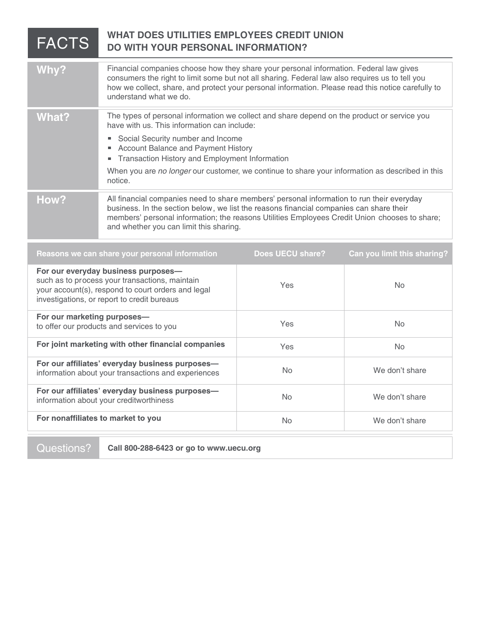| <b>FACTS</b>                                                                                                                                                                               | <b>WHAT DOES UTILITIES EMPLOYEES CREDIT UNION</b><br><b>DO WITH YOUR PERSONAL INFORMATION?</b>                                                                                                                                                                                                                                   |     |                |
|--------------------------------------------------------------------------------------------------------------------------------------------------------------------------------------------|----------------------------------------------------------------------------------------------------------------------------------------------------------------------------------------------------------------------------------------------------------------------------------------------------------------------------------|-----|----------------|
| Why?                                                                                                                                                                                       | Financial companies choose how they share your personal information. Federal law gives<br>consumers the right to limit some but not all sharing. Federal law also requires us to tell you<br>how we collect, share, and protect your personal information. Please read this notice carefully to<br>understand what we do.        |     |                |
| <b>What?</b>                                                                                                                                                                               | The types of personal information we collect and share depend on the product or service you<br>have with us. This information can include:                                                                                                                                                                                       |     |                |
|                                                                                                                                                                                            | Social Security number and Income<br>Account Balance and Payment History<br>Transaction History and Employment Information<br>When you are no longer our customer, we continue to share your information as described in this<br>notice.                                                                                         |     |                |
| How?                                                                                                                                                                                       | All financial companies need to share members' personal information to run their everyday<br>business. In the section below, we list the reasons financial companies can share their<br>members' personal information; the reasons Utilities Employees Credit Union chooses to share;<br>and whether you can limit this sharing. |     |                |
| Can you limit this sharing?<br><b>Does UECU share?</b><br>Reasons we can share your personal information                                                                                   |                                                                                                                                                                                                                                                                                                                                  |     |                |
| For our everyday business purposes-<br>such as to process your transactions, maintain<br>your account(s), respond to court orders and legal<br>investigations, or report to credit bureaus |                                                                                                                                                                                                                                                                                                                                  | Yes | No             |
| For our marketing purposes-<br>to offer our products and services to you                                                                                                                   |                                                                                                                                                                                                                                                                                                                                  | Yes | No             |
| For joint marketing with other financial companies                                                                                                                                         |                                                                                                                                                                                                                                                                                                                                  | Yes | No             |
| For our affiliates' everyday business purposes-<br>information about your transactions and experiences                                                                                     |                                                                                                                                                                                                                                                                                                                                  | No  | We don't share |
| For our affiliates' everyday business purposes-<br>information about your creditworthiness                                                                                                 |                                                                                                                                                                                                                                                                                                                                  | No  | We don't share |
| For nonaffiliates to market to you                                                                                                                                                         |                                                                                                                                                                                                                                                                                                                                  | No  | We don't share |
|                                                                                                                                                                                            |                                                                                                                                                                                                                                                                                                                                  |     |                |

Questions? **Call 800-288-6423 or go to www.uecu.org**